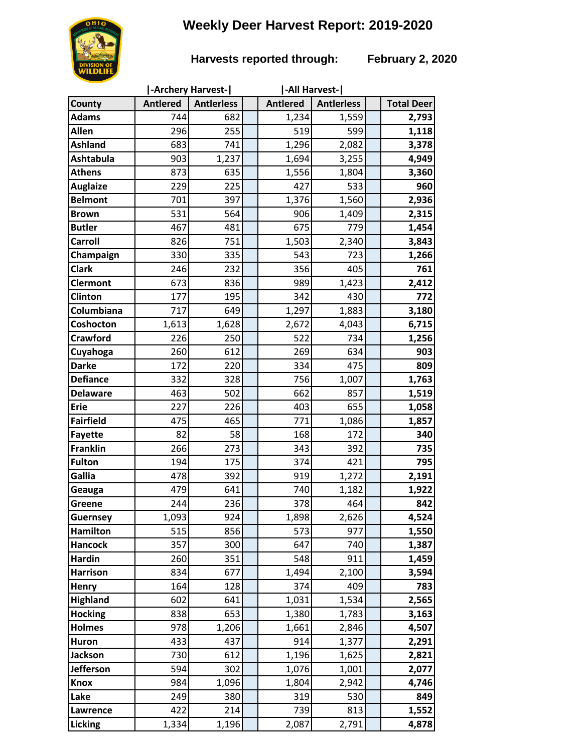# **Weekly Deer Harvest Report: 2019-2020**



### **Harvests reported through: February 2, 2020**

|                  |                 | -Archery Harvest- | -All Harvest-   |                   |                   |
|------------------|-----------------|-------------------|-----------------|-------------------|-------------------|
| County           | <b>Antlered</b> | <b>Antierless</b> | <b>Antlered</b> | <b>Antierless</b> | <b>Total Deer</b> |
| <b>Adams</b>     | 744             | 682               | 1,234           | 1,559             | 2,793             |
| Allen            | 296             | 255               | 519             | 599               | 1,118             |
| <b>Ashland</b>   | 683             | 741               | 1,296           | 2,082             | 3,378             |
| <b>Ashtabula</b> | 903             | 1,237             | 1,694           | 3,255             | 4,949             |
| <b>Athens</b>    | 873             | 635               | 1,556           | 1,804             | 3,360             |
| <b>Auglaize</b>  | 229             | 225               | 427             | 533               | 960               |
| <b>Belmont</b>   | 701             | 397               | 1,376           | 1,560             | 2,936             |
| <b>Brown</b>     | 531             | 564               | 906             | 1,409             | 2,315             |
| <b>Butler</b>    | 467             | 481               | 675             | 779               | 1,454             |
| <b>Carroll</b>   | 826             | 751               | 1,503           | 2,340             | 3,843             |
| Champaign        | 330             | 335               | 543             | 723               | 1,266             |
| <b>Clark</b>     | 246             | 232               | 356             | 405               | 761               |
| <b>Clermont</b>  | 673             | 836               | 989             | 1,423             | 2,412             |
| Clinton          | 177             | 195               | 342             | 430               | 772               |
| Columbiana       | 717             | 649               | 1,297           | 1,883             | 3,180             |
| Coshocton        | 1,613           | 1,628             | 2,672           | 4,043             | 6,715             |
| <b>Crawford</b>  | 226             | 250               | 522             | 734               | 1,256             |
| Cuyahoga         | 260             | 612               | 269             | 634               | 903               |
| <b>Darke</b>     | 172             | 220               | 334             | 475               | 809               |
| <b>Defiance</b>  | 332             | 328               | 756             | 1,007             | 1,763             |
| <b>Delaware</b>  | 463             | 502               | 662             | 857               | 1,519             |
| <b>Erie</b>      | 227             | 226               | 403             | 655               | 1,058             |
| <b>Fairfield</b> | 475             | 465               | 771             | 1,086             | 1,857             |
| <b>Fayette</b>   | 82              | 58                | 168             | 172               | 340               |
| <b>Franklin</b>  | 266             | 273               | 343             | 392               | 735               |
| <b>Fulton</b>    | 194             | 175               | 374             | 421               | 795               |
| Gallia           | 478             | 392               | 919             | 1,272             | 2,191             |
| Geauga           | 479             | 641               | 740             | 1,182             | 1,922             |
| Greene           | 244             | 236               | 378             | 464               | 842               |
| <b>Guernsey</b>  | 1,093           | 924               | 1,898           | 2,626             | 4,524             |
| <b>Hamilton</b>  | 515             | 856               | 573             | 977               | 1,550             |
| <b>Hancock</b>   | 357             | 300               | 647             | 740               | 1,387             |
| <b>Hardin</b>    | 260             | 351               | 548             | 911               | 1,459             |
| <b>Harrison</b>  | 834             | 677               | 1,494           | 2,100             | 3,594             |
| Henry            | 164             | 128               | 374             | 409               | 783               |
| <b>Highland</b>  | 602             | 641               | 1,031           | 1,534             | 2,565             |
| <b>Hocking</b>   | 838             | 653               | 1,380           | 1,783             | 3,163             |
| <b>Holmes</b>    | 978             | 1,206             | 1,661           | 2,846             | 4,507             |
| <b>Huron</b>     | 433             | 437               | 914             | 1,377             | 2,291             |
| <b>Jackson</b>   | 730             | 612               | 1,196           | 1,625             | 2,821             |
| <b>Jefferson</b> | 594             | 302               | 1,076           | 1,001             | 2,077             |
| <b>Knox</b>      | 984             | 1,096             | 1,804           | 2,942             | 4,746             |
| Lake             | 249             | 380               | 319             | 530               | 849               |
| Lawrence         | 422             | 214               | 739             | 813               | 1,552             |
| <b>Licking</b>   | 1,334           | 1,196             | 2,087           | 2,791             | 4,878             |